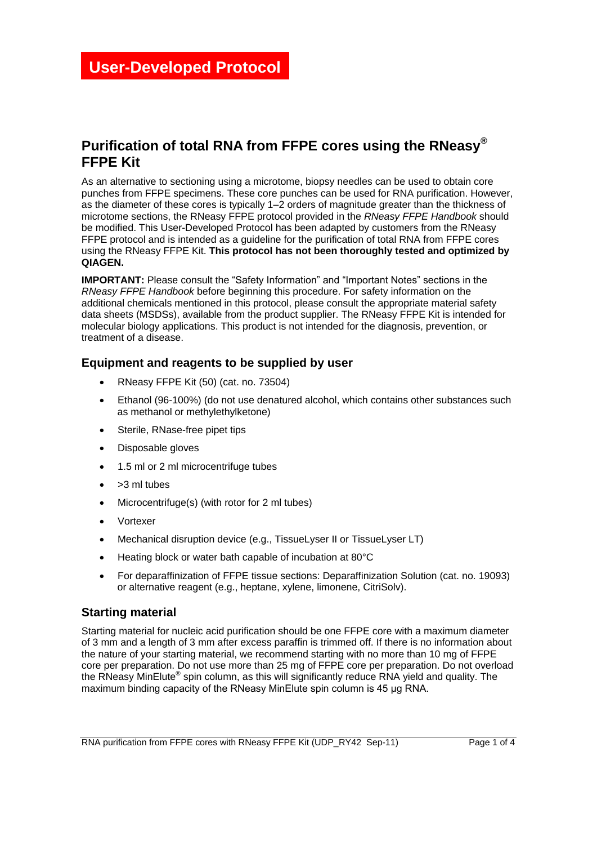## **Purification of total RNA from FFPE cores using the RNeasy® FFPE Kit**

As an alternative to sectioning using a microtome, biopsy needles can be used to obtain core punches from FFPE specimens. These core punches can be used for RNA purification. However, as the diameter of these cores is typically 1–2 orders of magnitude greater than the thickness of microtome sections, the RNeasy FFPE protocol provided in the *RNeasy FFPE Handbook* should be modified. This User-Developed Protocol has been adapted by customers from the RNeasy FFPE protocol and is intended as a guideline for the purification of total RNA from FFPE cores using the RNeasy FFPE Kit. **This protocol has not been thoroughly tested and optimized by QIAGEN.**

**IMPORTANT:** Please consult the "Safety Information" and "Important Notes" sections in the *RNeasy FFPE Handbook* before beginning this procedure. For safety information on the additional chemicals mentioned in this protocol, please consult the appropriate material safety data sheets (MSDSs), available from the product supplier. The RNeasy FFPE Kit is intended for molecular biology applications. This product is not intended for the diagnosis, prevention, or treatment of a disease.

### **Equipment and reagents to be supplied by user**

- RNeasy FFPE Kit (50) (cat. no. 73504)
- Ethanol (96-100%) (do not use denatured alcohol, which contains other substances such as methanol or methylethylketone)
- Sterile, RNase-free pipet tips
- Disposable gloves
- 1.5 ml or 2 ml microcentrifuge tubes
- >3 ml tubes
- Microcentrifuge(s) (with rotor for 2 ml tubes)
- Vortexer
- Mechanical disruption device (e.g., TissueLyser II or TissueLyser LT)
- Heating block or water bath capable of incubation at 80°C
- For deparaffinization of FFPE tissue sections: Deparaffinization Solution (cat. no. 19093) or alternative reagent (e.g., heptane, xylene, limonene, CitriSolv).

### **Starting material**

Starting material for nucleic acid purification should be one FFPE core with a maximum diameter of 3 mm and a length of 3 mm after excess paraffin is trimmed off. If there is no information about the nature of your starting material, we recommend starting with no more than 10 mg of FFPE core per preparation. Do not use more than 25 mg of FFPE core per preparation. Do not overload the RNeasy MinElute® spin column, as this will significantly reduce RNA yield and quality. The maximum binding capacity of the RNeasy MinElute spin column is 45 μg RNA.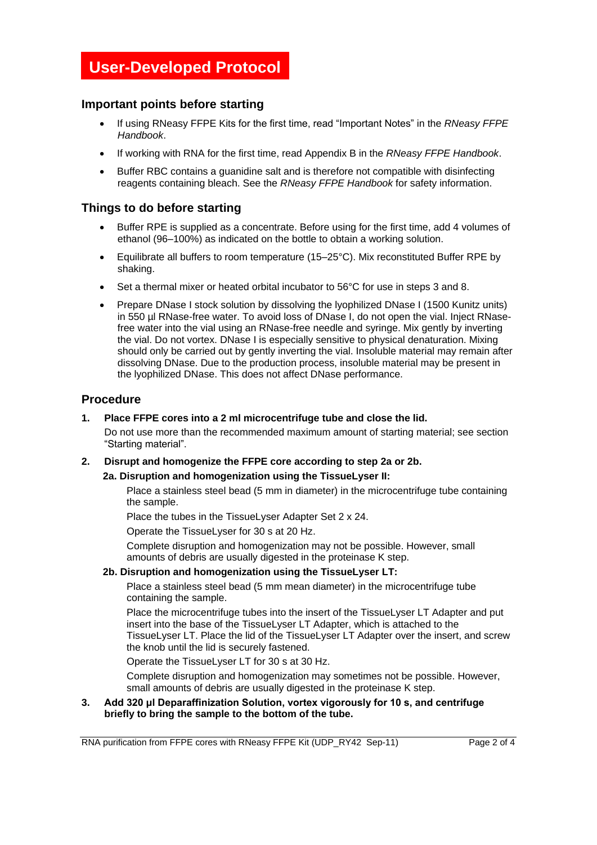# **User-Developed Protocol**

### **Important points before starting**

- If using RNeasy FFPE Kits for the first time, read "Important Notes" in the *RNeasy FFPE Handbook*.
- If working with RNA for the first time, read Appendix B in the *RNeasy FFPE Handbook*.
- Buffer RBC contains a guanidine salt and is therefore not compatible with disinfecting reagents containing bleach. See the *RNeasy FFPE Handbook* for safety information.

#### **Things to do before starting**

- Buffer RPE is supplied as a concentrate. Before using for the first time, add 4 volumes of ethanol (96–100%) as indicated on the bottle to obtain a working solution.
- Equilibrate all buffers to room temperature (15–25°C). Mix reconstituted Buffer RPE by shaking.
- Set a thermal mixer or heated orbital incubator to 56°C for use in steps 3 and 8.
- Prepare DNase I stock solution by dissolving the lyophilized DNase I (1500 Kunitz units) in 550 µl RNase-free water. To avoid loss of DNase I, do not open the vial. Inject RNasefree water into the vial using an RNase-free needle and syringe. Mix gently by inverting the vial. Do not vortex. DNase I is especially sensitive to physical denaturation. Mixing should only be carried out by gently inverting the vial. Insoluble material may remain after dissolving DNase. Due to the production process, insoluble material may be present in the lyophilized DNase. This does not affect DNase performance.

#### **Procedure**

#### **1. Place FFPE cores into a 2 ml microcentrifuge tube and close the lid.**

Do not use more than the recommended maximum amount of starting material; see section "Starting material".

#### **2. Disrupt and homogenize the FFPE core according to step 2a or 2b.**

#### **2a. Disruption and homogenization using the TissueLyser II:**

Place a stainless steel bead (5 mm in diameter) in the microcentrifuge tube containing the sample.

Place the tubes in the TissueLyser Adapter Set 2 x 24.

Operate the TissueLyser for 30 s at 20 Hz.

Complete disruption and homogenization may not be possible. However, small amounts of debris are usually digested in the proteinase K step.

#### **2b. Disruption and homogenization using the TissueLyser LT:**

Place a stainless steel bead (5 mm mean diameter) in the microcentrifuge tube containing the sample.

Place the microcentrifuge tubes into the insert of the TissueLyser LT Adapter and put insert into the base of the TissueLyser LT Adapter, which is attached to the TissueLyser LT. Place the lid of the TissueLyser LT Adapter over the insert, and screw the knob until the lid is securely fastened.

Operate the TissueLyser LT for 30 s at 30 Hz.

Complete disruption and homogenization may sometimes not be possible. However, small amounts of debris are usually digested in the proteinase K step.

**3. Add 320 μl Deparaffinization Solution, vortex vigorously for 10 s, and centrifuge briefly to bring the sample to the bottom of the tube.**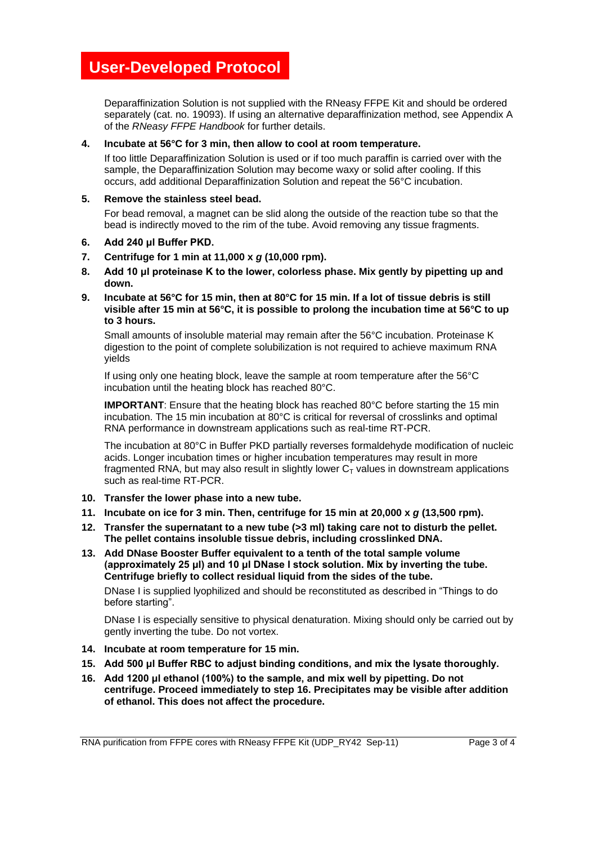# **User-Developed Protocol**

Deparaffinization Solution is not supplied with the RNeasy FFPE Kit and should be ordered separately (cat. no. 19093). If using an alternative deparaffinization method, see Appendix A of the *RNeasy FFPE Handbook* for further details.

#### **4. Incubate at 56°C for 3 min, then allow to cool at room temperature.**

If too little Deparaffinization Solution is used or if too much paraffin is carried over with the sample, the Deparaffinization Solution may become waxy or solid after cooling. If this occurs, add additional Deparaffinization Solution and repeat the 56°C incubation.

#### **5. Remove the stainless steel bead.**

For bead removal, a magnet can be slid along the outside of the reaction tube so that the bead is indirectly moved to the rim of the tube. Avoid removing any tissue fragments.

- **6. Add 240 μl Buffer PKD.**
- **7. Centrifuge for 1 min at 11,000 x** *g* **(10,000 rpm).**
- **8. Add 10 μl proteinase K to the lower, colorless phase. Mix gently by pipetting up and down.**
- **9. Incubate at 56°C for 15 min, then at 80°C for 15 min. If a lot of tissue debris is still visible after 15 min at 56°C, it is possible to prolong the incubation time at 56°C to up to 3 hours.**

Small amounts of insoluble material may remain after the 56°C incubation. Proteinase K digestion to the point of complete solubilization is not required to achieve maximum RNA yields

If using only one heating block, leave the sample at room temperature after the 56°C incubation until the heating block has reached 80°C.

**IMPORTANT:** Ensure that the heating block has reached 80°C before starting the 15 min incubation. The 15 min incubation at 80°C is critical for reversal of crosslinks and optimal RNA performance in downstream applications such as real-time RT-PCR.

The incubation at 80°C in Buffer PKD partially reverses formaldehyde modification of nucleic acids. Longer incubation times or higher incubation temperatures may result in more fragmented RNA, but may also result in slightly lower  $C_T$  values in downstream applications such as real-time RT-PCR.

- **10. Transfer the lower phase into a new tube.**
- **11. Incubate on ice for 3 min. Then, centrifuge for 15 min at 20,000 x** *g* **(13,500 rpm).**
- **12. Transfer the supernatant to a new tube (>3 ml) taking care not to disturb the pellet. The pellet contains insoluble tissue debris, including crosslinked DNA.**
- **13. Add DNase Booster Buffer equivalent to a tenth of the total sample volume (approximately 25 μl) and 10 μl DNase I stock solution. Mix by inverting the tube. Centrifuge briefly to collect residual liquid from the sides of the tube.**

DNase I is supplied lyophilized and should be reconstituted as described in "Things to do before starting".

DNase I is especially sensitive to physical denaturation. Mixing should only be carried out by gently inverting the tube. Do not vortex.

- **14. Incubate at room temperature for 15 min.**
- **15. Add 500 μl Buffer RBC to adjust binding conditions, and mix the lysate thoroughly.**
- **16. Add 1200 μl ethanol (100%) to the sample, and mix well by pipetting. Do not centrifuge. Proceed immediately to step 16. Precipitates may be visible after addition of ethanol. This does not affect the procedure.**